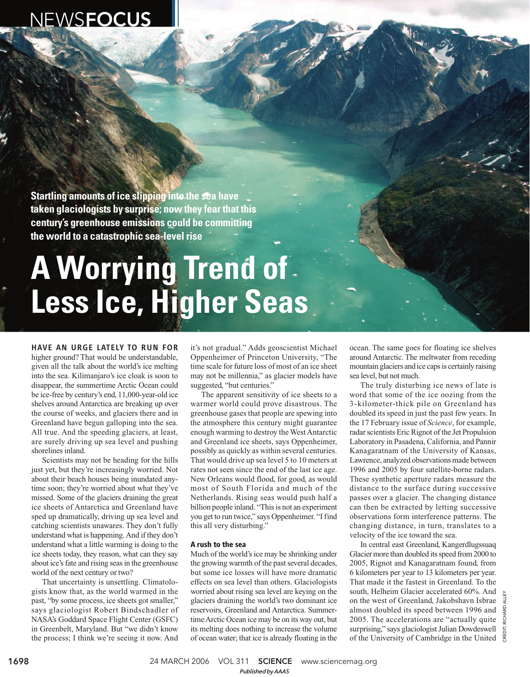# NEWSFOCUS

**Startling amounts of ice slipping into the sea have taken glaciologists by surprise; now they fear that this century's greenhouse emissions could be committing the world to a catastrophic sea-level rise**

# **A Worrying Trend of Less Ice, Higher Seas**

HAVE AN URGE LATELY TO RUN FOR higher ground? That would be understandable, given all the talk about the world's ice melting into the sea. Kilimanjaro's ice cloak is soon to disappear, the summertime Arctic Ocean could be ice-free by century's end, 11,000-year-old ice shelves around Antarctica are breaking up over the course of weeks, and glaciers there and in Greenland have begun galloping into the sea. All true. And the speeding glaciers, at least, are surely driving up sea level and pushing shorelines inland.

Scientists may not be heading for the hills just yet, but they're increasingly worried. Not about their beach houses being inundated anytime soon; they're worried about what they've missed. Some of the glaciers draining the great ice sheets of Antarctica and Greenland have sped up dramatically, driving up sea level and catching scientists unawares. They don't fully understand what is happening. And if they don't understand what a little warming is doing to the ice sheets today, they reason, what can they say about ice's fate and rising seas in the greenhouse world of the next century or two?

That uncertainty is unsettling. Climatologists know that, as the world warmed in the past, "by some process, ice sheets got smaller," says glaciologist Robert Bindschadler of NASA's Goddard Space Flight Center (GSFC) in Greenbelt, Maryland. But "we didn't know the process; I think we're seeing it now. And

it's not gradual." Adds geoscientist Michael Oppenheimer of Princeton University, "The time scale for future loss of most of an ice sheet may not be millennia," as glacier models have suggested, "but centuries."

The apparent sensitivity of ice sheets to a warmer world could prove disastrous. The greenhouse gases that people are spewing into the atmosphere this century might guarantee enough warming to destroy the West Antarctic and Greenland ice sheets, says Oppenheimer, possibly as quickly as within several centuries. That would drive up sea level 5 to 10 meters at rates not seen since the end of the last ice age. New Orleans would flood, for good, as would most of South Florida and much of the Netherlands. Rising seas would push half a billion people inland. "This is not an experiment you get to run twice," says Oppenheimer. "I find this all very disturbing."

# **A rush to the sea**

Much of the world's ice may be shrinking under the growing warmth of the past several decades, but some ice losses will have more dramatic effects on sea level than others. Glaciologists worried about rising sea level are keying on the glaciers draining the world's two dominant ice reservoirs, Greenland and Antarctica. Summertime Arctic Ocean ice may be on its way out, but its melting does nothing to increase the volume of ocean water; that ice is already floating in the

ocean. The same goes for floating ice shelves around Antarctic. The meltwater from receding mountain glaciers and ice caps is certainly raising sea level, but not much.

The truly disturbing ice news of late is word that some of the ice oozing from the 3-kilometer-thick pile on Greenland has doubled its speed in just the past few years. In the 17 February issue of *Science*, for example, radar scientists Eric Rignot of the Jet Propulsion Laboratory in Pasadena, California, and Pannir Kanagaratnam of the University of Kansas, Lawrence, analyzed observations made between 1996 and 2005 by four satellite-borne radars. These synthetic aperture radars measure the distance to the surface during successive passes over a glacier. The changing distance can then be extracted by letting successive observations form interference patterns. The changing distance, in turn, translates to a velocity of the ice toward the sea.

In central east Greenland, Kangerdlugssuaq Glacier more than doubled its speed from 2000 to 2005, Rignot and Kanagaratnam found, from 6 kilometers per year to 13 kilometers per year. That made it the fastest in Greenland. To the south, Helheim Glacier accelerated 60%. And on the west of Greenland, Jakobshavn Isbrae almost doubled its speed between 1996 and 2005. The accelerations are "actually quite surprising," says glaciologist Julian Dowdeswell of the University of Cambridge in the United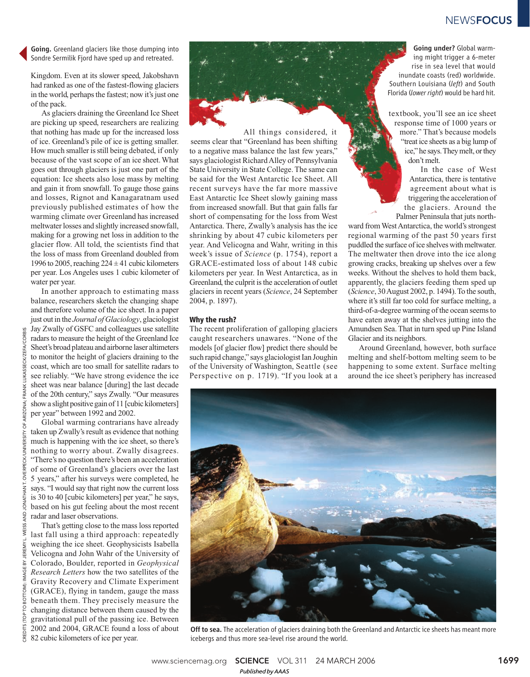# **NEWSFOCUS**

Going. Greenland glaciers like those dumping into Sondre Sermilik Fjord have sped up and retreated.

Kingdom. Even at its slower speed, Jakobshavn had ranked as one of the fastest-flowing glaciers in the world, perhaps the fastest; now it's just one of the pack.

As glaciers draining the Greenland Ice Sheet are picking up speed, researchers are realizing that nothing has made up for the increased loss of ice. Greenland's pile of ice is getting smaller. How much smaller is still being debated, if only because of the vast scope of an ice sheet. What goes out through glaciers is just one part of the equation: Ice sheets also lose mass by melting and gain it from snowfall. To gauge those gains and losses, Rignot and Kanagaratnam used previously published estimates of how the warming climate over Greenland has increased meltwater losses and slightly increased snowfall, making for a growing net loss in addition to the glacier flow. All told, the scientists find that the loss of mass from Greenland doubled from 1996 to 2005, reaching  $224 \pm 41$  cubic kilometers per year. Los Angeles uses 1 cubic kilometer of water per year.

In another approach to estimating mass balance, researchers sketch the changing shape and therefore volume of the ice sheet. In a paper just out in the *Journal of Glaciology*, glaciologist Jay Zwally of GSFC and colleagues use satellite radars to measure the height of the Greenland Ice Sheet's broad plateau and airborne laser altimeters to monitor the height of glaciers draining to the coast, which are too small for satellite radars to see reliably. "We have strong evidence the ice sheet was near balance [during] the last decade of the 20th century," says Zwally. "Our measures show a slight positive gain of 11 [cubic kilometers] per year" between 1992 and 2002.

Global warming contrarians have already taken up Zwally's result as evidence that nothing much is happening with the ice sheet, so there's nothing to worry about. Zwally disagrees. "There's no question there's been an acceleration of some of Greenland's glaciers over the last 5 years," after his surveys were completed, he says. "I would say that right now the current loss is 30 to 40 [cubic kilometers] per year," he says, based on his gut feeling about the most recent radar and laser observations.

That's getting close to the mass loss reported last fall using a third approach: repeatedly weighing the ice sheet. Geophysicists Isabella Velicogna and John Wahr of the University of Colorado, Boulder, reported in *Geophysical Research Letters* how the two satellites of the Gravity Recovery and Climate Experiment (GRACE), flying in tandem, gauge the mass beneath them. They precisely measure the changing distance between them caused by the gravitational pull of the passing ice. Between 2002 and 2004, GRACE found a loss of about  $\frac{82}{6}$  2002 and 2004, GRACE found a 1<br>82 cubic kilometers of ice per year.



All things considered, it seems clear that "Greenland has been shifting to a negative mass balance the last few years," says glaciologist Richard Alley of Pennsylvania State University in State College. The same can be said for the West Antarctic Ice Sheet. All recent surveys have the far more massive East Antarctic Ice Sheet slowly gaining mass from increased snowfall. But that gain falls far short of compensating for the loss from West Antarctica. There, Zwally's analysis has the ice shrinking by about 47 cubic kilometers per year. And Velicogna and Wahr, writing in this week's issue of *Science* (p. 1754), report a GRACE-estimated loss of about 148 cubic kilometers per year. In West Antarctica, as in Greenland, the culprit is the acceleration of outlet glaciers in recent years (*Science*, 24 September 2004, p. 1897).

### **Why the rush?**

The recent proliferation of galloping glaciers caught researchers unawares. "None of the models [of glacier flow] predict there should be such rapid change," says glaciologist Ian Joughin of the University of Washington, Seattle (see Perspective on p. 1719). "If you look at a

Going under? Global warming might trigger a 6-meter rise in sea level that would inundate coasts (red) worldwide. Southern Louisiana (*left*) and South Florida (*lower right*) would be hard hit.

textbook, you'll see an ice sheet response time of 1000 years or more." That's because models "treat ice sheets as a big lump of ice," he says. They melt, or they don't melt.

In the case of West Antarctica, there is tentative agreement about what is triggering the acceleration of the glaciers. Around the Palmer Peninsula that juts north-

ward from West Antarctica, the world's strongest regional warming of the past 50 years first puddled the surface of ice shelves with meltwater. The meltwater then drove into the ice along growing cracks, breaking up shelves over a few weeks. Without the shelves to hold them back, apparently, the glaciers feeding them sped up (*Science*, 30 August 2002, p. 1494). To the south, where it's still far too cold for surface melting, a third-of-a-degree warming of the ocean seems to have eaten away at the shelves jutting into the Amundsen Sea. That in turn sped up Pine Island Glacier and its neighbors.

Around Greenland, however, both surface melting and shelf-bottom melting seem to be happening to some extent. Surface melting around the ice sheet's periphery has increased



Off to sea. The acceleration of glaciers draining both the Greenland and Antarctic ice sheets has meant more icebergs and thus more sea-level rise around the world.